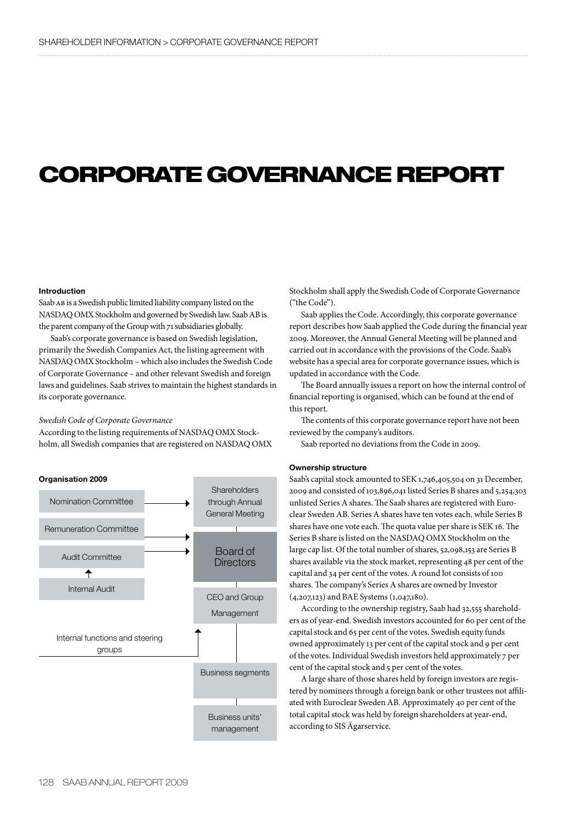# CORPORATE GOVERNANCE REPORT

### Introduction

Saab AB is a Swedish public limited liability company listed on the NASDAQ OMX Stockholm and governed by Swedish law. Saab AB is the parent company of the Group with 71 subsidiaries globally.

Saab's corporate governance is based on Swedish legislation, primarily the Swedish Companies Act, the listing agreement with NASDAQ OMX Stockholm - which also includes the Swedish Code of Corporate Governance – and other relevant Swedish and foreign laws and guidelines. Saab strives to maintain the highest standards in its corporate governance.

# *Swedish Code of Corporate Governance*

According to the listing requirements of NASDAQ OMX Stockholm, all Swedish companies that are registered on NASDAQ OMX



Stockholm shall apply the Swedish Code of Corporate Governance ("the Code").

Saab applies the Code. Accordingly, this corporate governance report describes how Saab applied the Code during the financial year 2009. Moreover, the Annual General Meeting will be planned and carried out in accordance with the provisions of the Code. Saab's website has a special area for corporate governance issues, which is updated in accordance with the Code.

The Board annually issues a report on how the internal control of financial reporting is organised, which can be found at the end of this report.

The contents of this corporate governance report have not been reviewed by the company's auditors.

Saab reported no deviations from the Code in 2009.

# Ownership structure

Saab's capital stock amounted to SEK 1,746,405,504 on 31 December, 2009 and consisted of 103,896,041 listed Series B shares and 5,254,303 unlisted Series A shares. The Saab shares are registered with Euroclear Sweden AB. Series A shares have ten votes each, while Series B shares have one vote each. The quota value per share is SEK 16. The Series B share is listed on the NASDAQ OMX Stockholm on the large cap list. Of the total number of shares, 52,098,153 are Series B shares available via the stock market, representing 48 per cent of the capital and 34 per cent of the votes. A round lot consists of 100 shares. The company's Series A shares are owned by Investor (4,207,123) and BAE Systems (1,047,180).

According to the ownership registry, Saab had 32,555 shareholders as of year-end. Swedish investors accounted for 60 per cent of the capital stock and 65 per cent of the votes. Swedish equity funds owned approximately 13 per cent of the capital stock and 9 per cent of the votes. Individual Swedish investors held approximately 7 per cent of the capital stock and 5 per cent of the votes.

A large share of those shares held by foreign investors are registered by nominees through a foreign bank or other trustees not affiliated with Euroclear Sweden AB. Approximately 40 per cent of the total capital stock was held by foreign shareholders at year-end, according to SIS Ägarservice.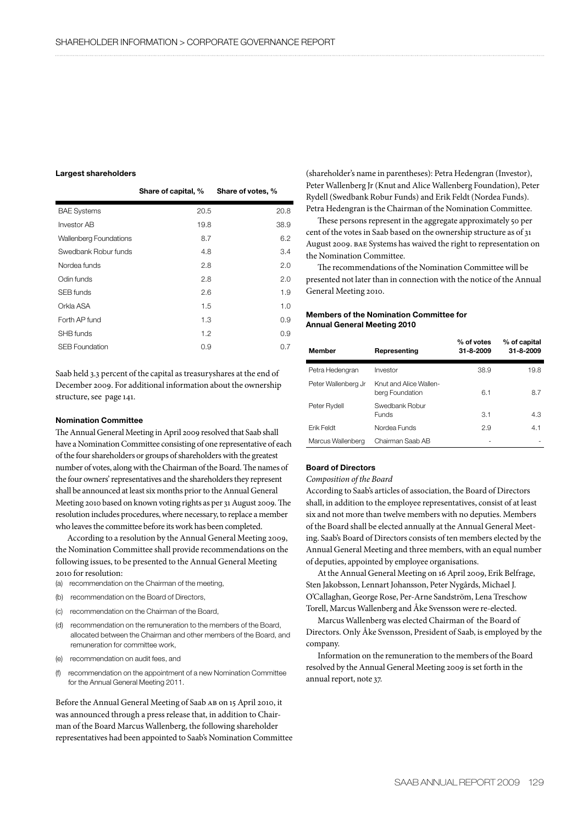## Largest shareholders

|                               | Share of capital, % | Share of votes, % |
|-------------------------------|---------------------|-------------------|
| <b>BAE Systems</b>            | 20.5                | 20.8              |
| <b>Investor AB</b>            | 19.8                | 38.9              |
| <b>Wallenberg Foundations</b> | 8.7                 | 6.2               |
| Swedbank Robur funds          | 4.8                 | 3.4               |
| Nordea funds                  | 2.8                 | 2.0               |
| Odin funds                    | 2.8                 | 2.0               |
| SEB funds                     | 2.6                 | 1.9               |
| Orkla ASA                     | 1.5                 | 1.0               |
| Forth AP fund                 | 1.3                 | 0.9               |
| SHB funds                     | 1.2                 | 0.9               |
| <b>SEB Foundation</b>         | 0.9                 | 0.7               |

Saab held 3.3 percent of the capital as treasuryshares at the end of December 2009. For additional information about the ownership structure, see page 141.

# Nomination Committee

The Annual General Meeting in April 2009 resolved that Saab shall have a Nomination Committee consisting of one representative of each of the four shareholders or groups of shareholders with the greatest number of votes, along with the Chairman of the Board. The names of the four owners' representatives and the shareholders they represent shall be announced at least six months prior to the Annual General Meeting 2010 based on known voting rights as per 31 August 2009. The resolution includes procedures, where necessary, to replace a member who leaves the committee before its work has been completed.

According to a resolution by the Annual General Meeting 2009, the Nomination Committee shall provide recommendations on the following issues, to be presented to the Annual General Meeting 2010 for resolution:

- (a) recommendation on the Chairman of the meeting,
- (b) recommendation on the Board of Directors,
- (c) recommendation on the Chairman of the Board,
- (d) recommendation on the remuneration to the members of the Board, allocated between the Chairman and other members of the Board, and remuneration for committee work,
- (e) recommendation on audit fees, and
- (f) recommendation on the appointment of a new Nomination Committee for the Annual General Meeting 2011.

Before the Annual General Meeting of Saab ab on 15 April 2010, it was announced through a press release that, in addition to Chairman of the Board Marcus Wallenberg, the following shareholder representatives had been appointed to Saab's Nomination Committee (shareholder's name in parentheses): Petra Hedengran (Investor), Peter Wallenberg Jr (Knut and Alice Wallenberg Foundation), Peter Rydell (Swedbank Robur Funds) and Erik Feldt (Nordea Funds). Petra Hedengran is the Chairman of the Nomination Committee.

These persons represent in the aggregate approximately 50 per cent of the votes in Saab based on the ownership structure as of 31 August 2009. bae Systems has waived the right to representation on the Nomination Committee.

The recommendations of the Nomination Committee will be presented not later than in connection with the notice of the Annual General Meeting 2010.

# Members of the Nomination Committee for Annual General Meeting 2010

| <b>Member</b>       | Representing                              | % of votes<br>31-8-2009 | % of capital<br>31-8-2009 |
|---------------------|-------------------------------------------|-------------------------|---------------------------|
| Petra Hedengran     | Investor                                  | 38.9                    | 19.8                      |
| Peter Wallenberg Jr | Knut and Alice Wallen-<br>berg Foundation | 6.1                     | 8.7                       |
| Peter Rydell        | Swedbank Robur<br><b>Funds</b>            | 3.1                     | 4.3                       |
| <b>Frik Feldt</b>   | Nordea Funds                              | 2.9                     | 4.1                       |
| Marcus Wallenberg   | Chairman Saab AB                          |                         |                           |

# Board of Directors

*Composition of the Board*

According to Saab's articles of association, the Board of Directors shall, in addition to the employee representatives, consist of at least six and not more than twelve members with no deputies. Members of the Board shall be elected annually at the Annual General Meeting. Saab's Board of Directors consists of ten members elected by the Annual General Meeting and three members, with an equal number of deputies, appointed by employee organisations.

At the Annual General Meeting on 16 April 2009, Erik Belfrage, Sten Jakobsson, Lennart Johansson, Peter Nygårds, Michael J. O'Callaghan, George Rose, Per-Arne Sandström, Lena Treschow Torell, Marcus Wallenberg and Åke Svensson were re-elected.

Marcus Wallenberg was elected Chairman of the Board of Directors. Only Åke Svensson, President of Saab, is employed by the company.

Information on the remuneration to the members of the Board resolved by the Annual General Meeting 2009 is set forth in the annual report, note 37.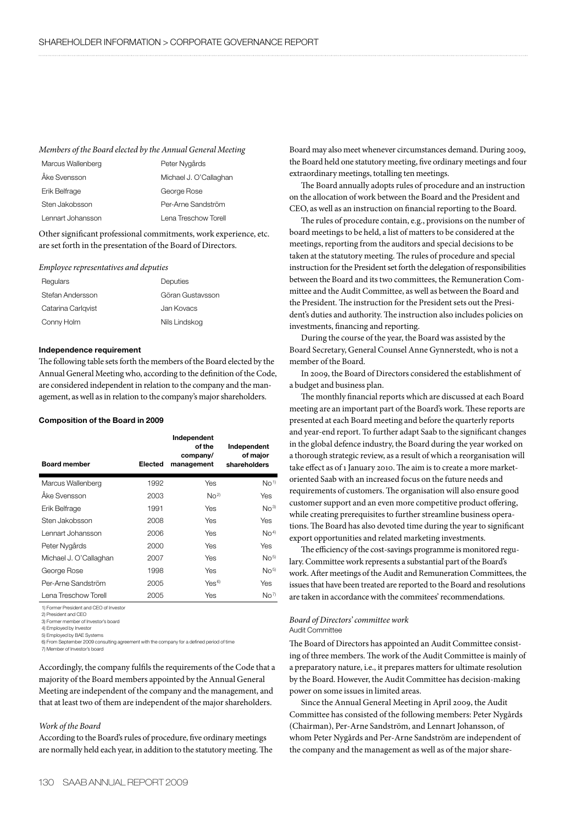## *Members of the Board elected by the Annual General Meeting*

| Marcus Wallenberg | Peter Nygårds          |
|-------------------|------------------------|
| Åke Svensson      | Michael J. O'Callaghan |
| Erik Belfrage     | George Rose            |
| Sten Jakobsson    | Per-Arne Sandström     |
| Lennart Johansson | Lena Treschow Torell   |

Other significant professional commitments, work experience, etc. are set forth in the presentation of the Board of Directors.

## *Employee representatives and deputies*

| Regulars           | Deputies         |
|--------------------|------------------|
| Stefan Andersson   | Göran Gustavsson |
| Catarina Carlgvist | Jan Kovacs       |
| Conny Holm         | Nils Lindskog    |

# Independence requirement

The following table sets forth the members of the Board elected by the Annual General Meeting who, according to the definition of the Code, are considered independent in relation to the company and the management, as well as in relation to the company's major shareholders.

## Composition of the Board in 2009

| <b>Board member</b>    | <b>Elected</b> | Independent<br>of the<br>company/<br>management | Independent<br>of major<br>shareholders |
|------------------------|----------------|-------------------------------------------------|-----------------------------------------|
| Marcus Wallenberg      | 1992           | Yes                                             | No <sup>1</sup>                         |
| Åke Svensson           | 2003           | No <sup>2</sup>                                 | Yes                                     |
| Erik Belfrage          | 1991           | Yes                                             | No <sup>3</sup>                         |
| Sten Jakobsson         | 2008           | Yes                                             | Yes                                     |
| Lennart Johansson      | 2006           | Yes                                             | No <sup>4</sup>                         |
| Peter Nygårds          | 2000           | Yes                                             | Yes                                     |
| Michael J. O'Callaghan | 2007           | Yes                                             | No <sup>5</sup>                         |
| George Rose            | 1998           | Yes                                             | No <sup>5</sup>                         |
| Per-Arne Sandström     | 2005           | $Yes^{6}$                                       | Yes                                     |
| Lena Treschow Torell   | 2005           | Yes                                             | No <sup>7</sup>                         |

1) Former President and CEO of Investor

2) President and CEO 3) Former member of Investor's board

4) Employed by Investor

5) Employed by BAE Systems

6) From September 2009 consulting agreement with the company for a defined period of time

7) Member of Investor's board

Accordingly, the company fulfils the requirements of the Code that a majority of the Board members appointed by the Annual General Meeting are independent of the company and the management, and that at least two of them are independent of the major shareholders.

# *Work of the Board*

According to the Board's rules of procedure, five ordinary meetings are normally held each year, in addition to the statutory meeting. The Board may also meet whenever circumstances demand. During 2009, the Board held one statutory meeting, five ordinary meetings and four extraordinary meetings, totalling ten meetings.

The Board annually adopts rules of procedure and an instruction on the allocation of work between the Board and the President and CEO, as well as an instruction on financial reporting to the Board.

The rules of procedure contain, e.g., provisions on the number of board meetings to be held, a list of matters to be considered at the meetings, reporting from the auditors and special decisions to be taken at the statutory meeting. The rules of procedure and special instruction for the President set forth the delegation of responsibilities between the Board and its two committees, the Remuneration Committee and the Audit Committee, as well as between the Board and the President. The instruction for the President sets out the President's duties and authority. The instruction also includes policies on investments, financing and reporting.

During the course of the year, the Board was assisted by the Board Secretary, General Counsel Anne Gynnerstedt, who is not a member of the Board.

In 2009, the Board of Directors considered the establishment of a budget and business plan.

The monthly financial reports which are discussed at each Board meeting are an important part of the Board's work. These reports are presented at each Board meeting and before the quarterly reports and year-end report. To further adapt Saab to the significant changes in the global defence industry, the Board during the year worked on a thorough strategic review, as a result of which a reorganisation will take effect as of 1 January 2010. The aim is to create a more marketoriented Saab with an increased focus on the future needs and requirements of customers. The organisation will also ensure good customer support and an even more competitive product offering, while creating prerequisites to further streamline business operations. The Board has also devoted time during the year to significant export opportunities and related marketing investments.

The efficiency of the cost-savings programme is monitored regulary. Committee work represents a substantial part of the Board's work. After meetings of the Audit and Remuneration Committees, the issues that have been treated are reported to the Board and resolutions are taken in accordance with the commitees' recommendations.

# *Board of Directors' committee work* Audit Committee

The Board of Directors has appointed an Audit Committee consisting of three members. The work of the Audit Committee is mainly of a preparatory nature, i.e., it prepares matters for ultimate resolution by the Board. However, the Audit Committee has decision-making power on some issues in limited areas.

Since the Annual General Meeting in April 2009, the Audit Committee has consisted of the following members: Peter Nygårds (Chairman), Per-Arne Sandström, and Lennart Johansson, of whom Peter Nygårds and Per-Arne Sandström are independent of the company and the management as well as of the major share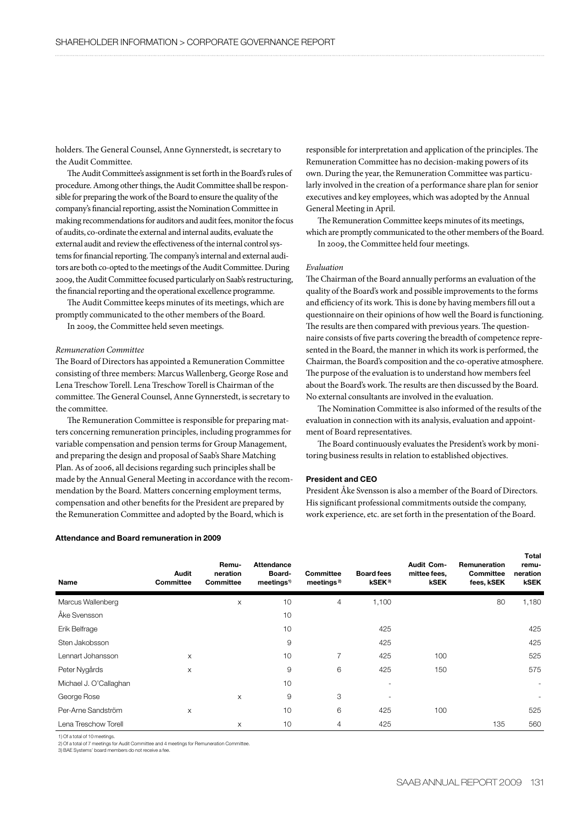holders. The General Counsel, Anne Gynnerstedt, is secretary to the Audit Committee.

The Audit Committee's assignment is set forth in the Board's rules of procedure. Among other things, the Audit Committee shall be responsible for preparing the work of the Board to ensure the quality of the company's financial reporting, assist the Nomination Committee in making recommendations for auditors and audit fees, monitor the focus of audits, co-ordinate the external and internal audits, evaluate the external audit and review the effectiveness of the internal control systems for financial reporting. The company's internal and external auditors are both co-opted to the meetings of the Audit Committee. During 2009, the Audit Committee focused particularly on Saab's restructuring, the financial reporting and the operational excellence programme.

The Audit Committee keeps minutes of its meetings, which are promptly communicated to the other members of the Board.

In 2009, the Committee held seven meetings.

# *Remuneration Committee*

The Board of Directors has appointed a Remuneration Committee consisting of three members: Marcus Wallenberg, George Rose and Lena Treschow Torell. Lena Treschow Torell is Chairman of the committee. The General Counsel, Anne Gynnerstedt, is secretary to the committee.

The Remuneration Committee is responsible for preparing matters concerning remuneration principles, including programmes for variable compensation and pension terms for Group Management, and preparing the design and proposal of Saab's Share Matching Plan. As of 2006, all decisions regarding such principles shall be made by the Annual General Meeting in accordance with the recommendation by the Board. Matters concerning employment terms, compensation and other benefits for the President are prepared by the Remuneration Committee and adopted by the Board, which is

## Attendance and Board remuneration in 2009

responsible for interpretation and application of the principles. The Remuneration Committee has no decision-making powers of its own. During the year, the Remuneration Committee was particularly involved in the creation of a performance share plan for senior executives and key employees, which was adopted by the Annual General Meeting in April.

The Remuneration Committee keeps minutes of its meetings, which are promptly communicated to the other members of the Board. In 2009, the Committee held four meetings.

# *Evaluation*

The Chairman of the Board annually performs an evaluation of the quality of the Board's work and possible improvements to the forms and efficiency of its work. This is done by having members fill out a questionnaire on their opinions of how well the Board is functioning. The results are then compared with previous years. The questionnaire consists of five parts covering the breadth of competence represented in the Board, the manner in which its work is performed, the Chairman, the Board's composition and the co-operative atmosphere. The purpose of the evaluation is to understand how members feel about the Board's work. The results are then discussed by the Board. No external consultants are involved in the evaluation.

The Nomination Committee is also informed of the results of the evaluation in connection with its analysis, evaluation and appointment of Board representatives.

The Board continuously evaluates the President's work by monitoring business results in relation to established objectives.

# President and CEO

President Åke Svensson is also a member of the Board of Directors. His significant professional commitments outside the company, work experience, etc. are set forth in the presentation of the Board.

| <b>Name</b>            | Audit<br><b>Committee</b> | Remu-<br>neration<br>Committee | <b>Attendance</b><br>Board-<br>meetings <sup>1</sup> | <b>Committee</b><br>meetings <sup>2)</sup> | <b>Board fees</b><br>kSEK <sup>3)</sup> | Audit Com-<br>mittee fees,<br><b>kSEK</b> | <b>Remuneration</b><br><b>Committee</b><br>fees, kSEK | $\cdots$<br>remu-<br>neration<br><b>kSEK</b> |
|------------------------|---------------------------|--------------------------------|------------------------------------------------------|--------------------------------------------|-----------------------------------------|-------------------------------------------|-------------------------------------------------------|----------------------------------------------|
| Marcus Wallenberg      |                           | X                              | 10                                                   | 4                                          | 1,100                                   |                                           | 80                                                    | 1,180                                        |
| Åke Svensson           |                           |                                | 10                                                   |                                            |                                         |                                           |                                                       |                                              |
| Erik Belfrage          |                           |                                | 10                                                   |                                            | 425                                     |                                           |                                                       | 425                                          |
| Sten Jakobsson         |                           |                                | 9                                                    |                                            | 425                                     |                                           |                                                       | 425                                          |
| Lennart Johansson      | X                         |                                | 10                                                   | 7                                          | 425                                     | 100                                       |                                                       | 525                                          |
| Peter Nygårds          | X                         |                                | 9                                                    | 6                                          | 425                                     | 150                                       |                                                       | 575                                          |
| Michael J. O'Callaghan |                           |                                | 10                                                   |                                            |                                         |                                           |                                                       | $\overline{\phantom{a}}$                     |
| George Rose            |                           | X                              | 9                                                    | 3                                          |                                         |                                           |                                                       |                                              |
| Per-Arne Sandström     | X                         |                                | 10                                                   | 6                                          | 425                                     | 100                                       |                                                       | 525                                          |
| Lena Treschow Torell   |                           | X                              | 10                                                   | $\overline{4}$                             | 425                                     |                                           | 135                                                   | 560                                          |

1) Of a total of 10 meetings.

2) Of a total of 7 meetings for Audit Committee and 4 meetings for Remuneration Committee.

3) BAE Systems' board members do not receive a fee.

Total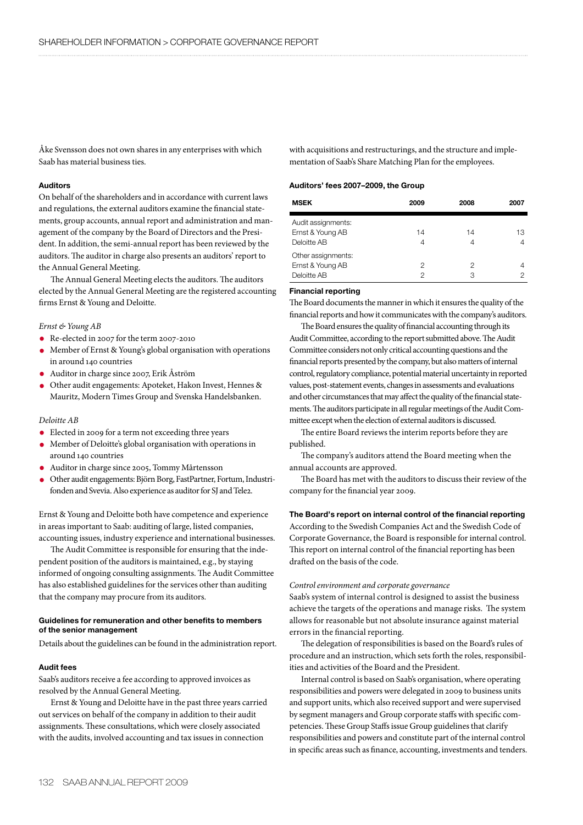Åke Svensson does not own shares in any enterprises with which Saab has material business ties.

# Auditors

On behalf of the shareholders and in accordance with current laws and regulations, the external auditors examine the financial statements, group accounts, annual report and administration and management of the company by the Board of Directors and the President. In addition, the semi-annual report has been reviewed by the auditors. The auditor in charge also presents an auditors' report to the Annual General Meeting.

The Annual General Meeting elects the auditors. The auditors elected by the Annual General Meeting are the registered accounting firms Ernst & Young and Deloitte.

# *Ernst & Young AB*

- Re-elected in 2007 for the term 2007-2010
- Member of Ernst & Young's global organisation with operations in around 140 countries
- Auditor in charge since 2007, Erik Åström
- Other audit engagements: Apoteket, Hakon Invest, Hennes & Mauritz, Modern Times Group and Svenska Handelsbanken.

# *Deloitte AB*

- Elected in 2009 for a term not exceeding three years
- Member of Deloitte's global organisation with operations in around 140 countries
- Auditor in charge since 2005, Tommy Mårtensson
- Other audit engagements: Björn Borg, FastPartner, Fortum, Industrifonden and Svevia. Also experience as auditor for SJ and Tele2.

Ernst & Young and Deloitte both have competence and experience in areas important to Saab: auditing of large, listed companies, accounting issues, industry experience and international businesses.

The Audit Committee is responsible for ensuring that the independent position of the auditors is maintained, e.g., by staying informed of ongoing consulting assignments. The Audit Committee has also established guidelines for the services other than auditing that the company may procure from its auditors.

# Guidelines for remuneration and other benefits to members of the senior management

Details about the guidelines can be found in the administration report.

# Audit fees

Saab's auditors receive a fee according to approved invoices as resolved by the Annual General Meeting.

Ernst & Young and Deloitte have in the past three years carried out services on behalf of the company in addition to their audit assignments. These consultations, which were closely associated with the audits, involved accounting and tax issues in connection

with acquisitions and restructurings, and the structure and implementation of Saab's Share Matching Plan for the employees.

## Auditors' fees 2007–2009, the Group

| <b>MSEK</b>                                           | 2009    | 2008    | 2007    |
|-------------------------------------------------------|---------|---------|---------|
| Audit assignments:<br>Ernst & Young AB<br>Deloitte AB | 14<br>4 | 14<br>4 | 13<br>4 |
| Other assignments:<br>Ernst & Young AB<br>Deloitte AB | 2<br>2  | 2<br>З  | 4       |

# Financial reporting

The Board documents the manner in which it ensures the quality of the financial reports and how it communicates with the company's auditors.

The Board ensures the quality of financial accounting through its Audit Committee, according to the report submitted above. The Audit Committee considers not only critical accounting questions and the financial reports presented by the company, but also matters of internal control, regulatory compliance, potential material uncertainty in reported values, post-statement events, changes in assessments and evaluations and other circumstances that may affect the quality of the financial statements. The auditors participate in all regular meetings of the Audit Committee except when the election of external auditors is discussed.

The entire Board reviews the interim reports before they are published.

The company's auditors attend the Board meeting when the annual accounts are approved.

The Board has met with the auditors to discuss their review of the company for the financial year 2009.

# The Board's report on internal control of the financial reporting

According to the Swedish Companies Act and the Swedish Code of Corporate Governance, the Board is responsible for internal control. This report on internal control of the financial reporting has been drafted on the basis of the code.

# *Control environment and corporate governance*

Saab's system of internal control is designed to assist the business achieve the targets of the operations and manage risks. The system allows for reasonable but not absolute insurance against material errors in the financial reporting.

The delegation of responsibilities is based on the Board's rules of procedure and an instruction, which sets forth the roles, responsibilities and activities of the Board and the President.

Internal control is based on Saab's organisation, where operating responsibilities and powers were delegated in 2009 to business units and support units, which also received support and were supervised by segment managers and Group corporate staffs with specific competencies. These Group Staffs issue Group guidelines that clarify responsibilities and powers and constitute part of the internal control in specific areas such as finance, accounting, investments and tenders.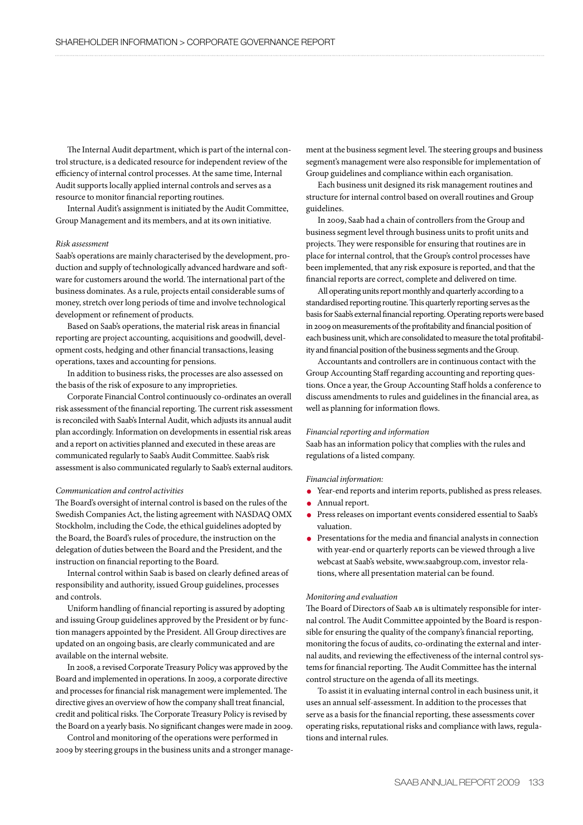The Internal Audit department, which is part of the internal control structure, is a dedicated resource for independent review of the efficiency of internal control processes. At the same time, Internal Audit supports locally applied internal controls and serves as a resource to monitor financial reporting routines.

Internal Audit's assignment is initiated by the Audit Committee, Group Management and its members, and at its own initiative.

# *Risk assessment*

Saab's operations are mainly characterised by the development, production and supply of technologically advanced hardware and software for customers around the world. The international part of the business dominates. As a rule, projects entail considerable sums of money, stretch over long periods of time and involve technological development or refinement of products.

Based on Saab's operations, the material risk areas in financial reporting are project accounting, acquisitions and goodwill, development costs, hedging and other financial transactions, leasing operations, taxes and accounting for pensions.

In addition to business risks, the processes are also assessed on the basis of the risk of exposure to any improprieties.

Corporate Financial Control continuously co-ordinates an overall risk assessment of the financial reporting. The current risk assessment is reconciled with Saab's Internal Audit, which adjusts its annual audit plan accordingly. Information on developments in essential risk areas and a report on activities planned and executed in these areas are communicated regularly to Saab's Audit Committee. Saab's risk assessment is also communicated regularly to Saab's external auditors.

# *Communication and control activities*

The Board's oversight of internal control is based on the rules of the Swedish Companies Act, the listing agreement with NASDAQ OMX Stockholm, including the Code, the ethical guidelines adopted by the Board, the Board's rules of procedure, the instruction on the delegation of duties between the Board and the President, and the instruction on financial reporting to the Board.

Internal control within Saab is based on clearly defined areas of responsibility and authority, issued Group guidelines, processes and controls.

Uniform handling of financial reporting is assured by adopting and issuing Group guidelines approved by the President or by function managers appointed by the President. All Group directives are updated on an ongoing basis, are clearly communicated and are available on the internal website.

In 2008, a revised Corporate Treasury Policy was approved by the Board and implemented in operations. In 2009, a corporate directive and processes for financial risk management were implemented. The directive gives an overview of how the company shall treat financial, credit and political risks. The Corporate Treasury Policy is revised by the Board on a yearly basis. No significant changes were made in 2009.

Control and monitoring of the operations were performed in 2009 by steering groups in the business units and a stronger management at the business segment level. The steering groups and business segment's management were also responsible for implementation of Group guidelines and compliance within each organisation.

Each business unit designed its risk management routines and structure for internal control based on overall routines and Group guidelines.

In 2009, Saab had a chain of controllers from the Group and business segment level through business units to profit units and projects. They were responsible for ensuring that routines are in place for internal control, that the Group's control processes have been implemented, that any risk exposure is reported, and that the financial reports are correct, complete and delivered on time.

All operating units report monthly and quarterly according to a standardised reporting routine. This quarterly reporting serves as the basis for Saab's external financial reporting. Operating reports were based in 2009 on measurements of the profitability and financial position of each business unit, which are consolidated to measure the total profitability and financial position of the business segments and the Group.

Accountants and controllers are in continuous contact with the Group Accounting Staff regarding accounting and reporting questions. Once a year, the Group Accounting Staff holds a conference to discuss amendments to rules and guidelines in the financial area, as well as planning for information flows.

## *Financial reporting and information*

Saab has an information policy that complies with the rules and regulations of a listed company.

## *Financial information:*

- Year-end reports and interim reports, published as press releases.
- Annual report.
- Press releases on important events considered essential to Saab's valuation.
- Presentations for the media and financial analysts in connection with year-end or quarterly reports can be viewed through a live webcast at Saab's website, www.saabgroup.com, investor relations, where all presentation material can be found.

## *Monitoring and evaluation*

The Board of Directors of Saab AB is ultimately responsible for internal control. The Audit Committee appointed by the Board is responsible for ensuring the quality of the company's financial reporting, monitoring the focus of audits, co-ordinating the external and internal audits, and reviewing the effectiveness of the internal control systems for financial reporting. The Audit Committee has the internal control structure on the agenda of all its meetings.

To assist it in evaluating internal control in each business unit, it uses an annual self-assessment. In addition to the processes that serve as a basis for the financial reporting, these assessments cover operating risks, reputational risks and compliance with laws, regulations and internal rules.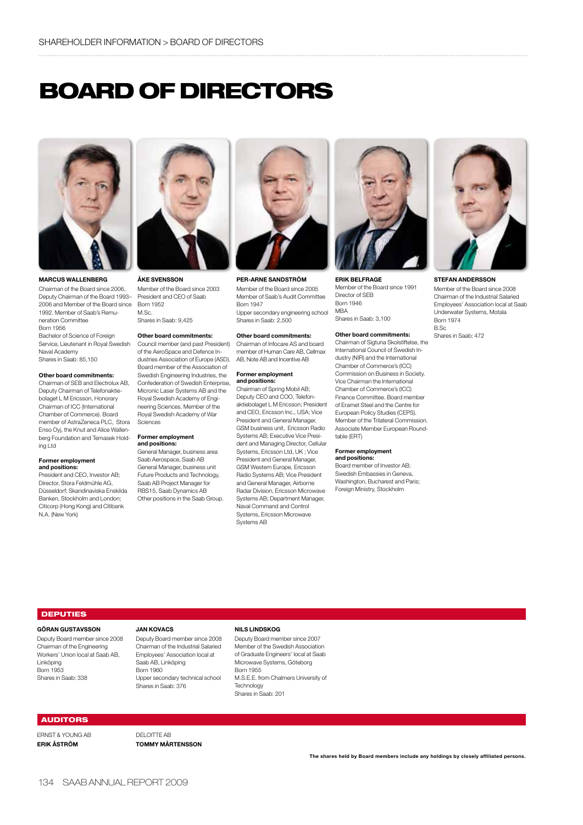# BOARD OF DIRECTORS



Marcus Wallenberg

Chairman of the Board since 2006, Deputy Chairman of the Board 1993– 2006 and Member of the Board since 1992. Member of Saab's Remuneration Committee Born 1956 Bachelor of Science of Foreign Service, Lieutenant in Royal Swedish Naval Academy Shares in Saab: 85,150

### Other board commitments:

Chairman of SEB and Electrolux AB, Deputy Chairman of Telefonaktiebolaget L M Ericsson, Honorary Chairman of ICC (International Chamber of Commerce). Board member of AstraZeneca PLC, Stora Enso Ovi, the Knut and Alice Wallenberg Foundation and Temasek Holding Ltd

### Former employment and positions:

President and CEO, Investor AB; Director, Stora Feldmühle AG, Düsseldorf; Skandinaviska Enskilda Banken, Stockholm and London; Citicorp (Hong Kong) and Citibank N.A. (New York)



Åke Svensson Member of the Board since 2003 President and CEO of Saab Born 1952  $M$  Sc. Shares in Saab: 9,425

# Other board commitments:

Council member (and past President) of the AeroSpace and Defence Industries Association of Europe (ASD). Board member of the Association of Swedish Engineering Industries, the Confederation of Swedish Enterprise, Micronic Laser Systems AB and the Royal Swedish Academy of Engineering Sciences. Member of the Royal Swedish Academy of War Sciences

### Former employment and positions:

General Manager, business area Saab Aerospace, Saab AB General Manager, business unit Future Products and Technology, Saab AB Project Manager for RBS15, Saab Dynamics AB Other positions in the Saab Group.



Per-Arne Sandström

Member of the Board since 2005 Member of Saab's Audit Committee Born 1947 Upper secondary engineering school Shares in Saab: 2,500

# Other board commitments:

Chairman of Infocare AS and board member of Human Care AB, Cellmax AB, Note AB and Incentive AB

### Former employment and positions:

Chairman of Spring Mobil AB; Deputy CEO and COO, Telefonaktiebolaget L M Ericsson; President and CEO, Ericsson Inc., USA; Vice President and General Manager, GSM business unit, Ericsson Radio Systems AB; Executive Vice President and Managing Director, Cellular Systems, Ericsson Ltd, UK ; Vice President and General Manager, GSM Western Europe, Ericsson Radio Systems AB; Vice President and General Manager, Airborne Radar Division, Ericsson Microwave Systems AB; Department Manager, Naval Command and Control Systems, Ericsson Microwave Systems AB



Erik Belfrage Member of the Board since 1991 Director of SEB Born 1946 MBA Shares in Saab: 3,100

### Other board commitments:

Chairman of Sigtuna Skolstiftelse, the International Council of Swedish Industry (NIR) and the International Chamber of Commerce's (ICC) Commission on Business in Society. Vice Chairman the International Chamber of Commerce's (ICC) Finance Committee. Board member of Eramet Steel and the Centre for European Policy Studies (CEPS). Member of the Trilateral Commission. Associate Member European Roundtable (ERT)

#### Former employment and positions:

Board member of Investor AB; Swedish Embassies in Geneva, Washington, Bucharest and Paris; Foreign Ministry, Stockholm



Stefan andersson

Member of the Board since 2008 Chairman of the Industrial Salaried Employees' Association local at Saab Underwater Systems, Motala Born 1974 B.Sc

Shares in Saab: 472

# **DEPUTIES**

### Göran Gustavsson

Deputy Board member since 2008 Chairman of the Engineering Workers' Union local at Saab AB, Linköping Born 1953 Shares in Saab: 338

## jan kovacs

Deputy Board member since 2008 Chairman of the Industrial Salaried Employees' Association local at Saab AB, Linköping Born 1960 Upper secondary technical school Shares in Saab: 376

# Nils Lindskog

Deputy Board member since 2007 Member of the Swedish Association of Graduate Engineers' local at Saab Microwave Systems, Göteborg Born 1955 M.S.E.E. from Chalmers University of Technology Shares in Saab: 201

## AUDITORS

ERNST & YOUNG AB ERIK Åström

DELOITTE AB Tommy Mårtensson

The shares held by Board members include any holdings by closely affiliated persons.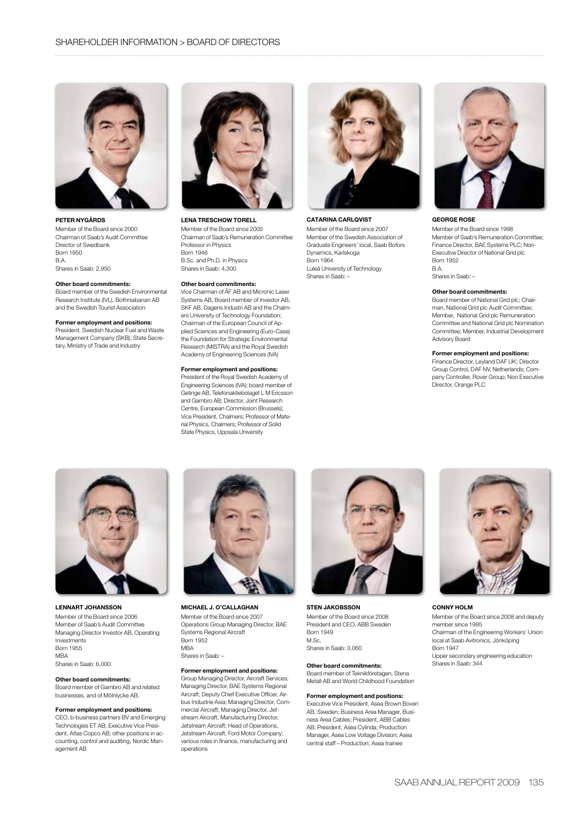

Peter Nygårds Member of the Board since 2000 Chairman of Saab's Audit Committee Director of Swedbank Born 1950 B.A. Shares in Saab: 2,950

### Other board commitments:

Board member of the Swedish Environmental Research Institute (IVL), Bothniabanan AB and the Swedish Tourist Association

### Former employment and positions:

President, Swedish Nuclear Fuel and Waste Management Company (SKB); State Secretary, Ministry of Trade and Industry



Lena Treschow Torell Member of the Board since 2005 Chairman of Saab's Remuneration Committee Professor in Physics Born 1946 B.Sc. and Ph.D. in Physics Shares in Saab: 4,300

### Other board commitments:

Vice Chairman of ÅF AB and Micronic Laser Systems AB, Board member of Investor AB, SKF AB, Dagens Industri AB and the Chalmers University of Technology Foundation; Chairman of the European Council of Applied Sciences and Engineering (Euro-Case) the Foundation for Strategic Environmental Research (MISTRA) and the Royal Swedish Academy of Engineering Sciences (IVA)

### Former employment and positions:

President of the Royal Swedish Academy of Engineering Sciences (IVA); board member of Getinge AB, Telefonaktiebolaget L MEricsson and Gambro AB; Director, Joint Research Centre, European Commission (Brussels); Vice President, Chalmers; Professor of Material Physics, Chalmers; Professor of Solid State Physics, Uppsala University



CATARINA CARLQVIST Member of the Board since 2007 Member of the Swedish Association of Graduate Engineers' local, Saab Bofors Dynamics, Karlskoga Born 1964 Luleå University of Technology Shares in Saab: –



## George Rose

Member of the Board since 1998 Member of Saab's Remuneration Committee; Finance Director, BAE Systems PLC; Non-Executive Director of National Grid plc Born 1952 B.A. Shares in Saab: –

### Other board commitments:

Board member of National Grid plc; Chairman, National Grid plc Audit Committee; Member, National Grid plc Remuneration Committee and National Grid plc Nomination Committee; Member, Industrial Development Advisory Board

### Former employment and positions:

Finance Director, Leyland DAF UK; Director Group Control, DAF NV, Netherlands; Company Controller, Rover Group; Non Executive Director, Orange PLC



Lennart Johansson Member of the Board since 2006 Member of Saab's Audit Committee Managing Director Investor AB, Operating Investments Born 1955 **MRA** Shares in Saab: 6,000

### Other board commitments:

Board member of Gambro AB and related businesses, and of Mölnlycke AB.

### Former employment and positions:

CEO, b-business partners BV and Emerging Technologies ET AB; Executive Vice President, Atlas Copco AB; other positions in accounting, control and auditing, Nordic Management AB



Michael J. O'Callaghan Member of the Board since 2007 Operations Group Managing Director, BAE Systems Regional Aircraft Born 1952 **MRA** Shares in Saab: –

# Former employment and positions:

Group Managing Director, Aircraft Services; Managing Director, BAE Systems Regional Aircraft; Deputy Chief Executive Officer, Airbus Industrie Asia; Managing Director, Commercial Aircraft; Managing Director, Jetstream Aircraft, Manufacturing Director, Jetstream Aircraft; Head of Operations, Jetstream Aircraft, Ford Motor Company; various roles in finance, manufacturing and operations



sten jakobsson Member of the Board since 2008 President and CEO, ABB Sweden Born 1949 M.Sc. Shares in Saab: 3,060

### Other board commitments:

Board member of Teknikföretagen, Stena Metall AB and World Childhood Foundation

### Former employment and positions:

Executive Vice President, Asea Brown Boveri AB, Sweden; Business Area Manager, Business Area Cables; President, ABB Cables AB; President, Asea Cylinda; Production Manager, Asea Low Voltage Division; Asea central staff – Production; Asea trainee



### conny holm

Member of the Board since 2008 and deputy member since 1995 Chairman of the Engineering Workers' Union local at Saab Avitronics, Jönköping Born 1947 Upper secondary engineering education Shares in Saab: 344